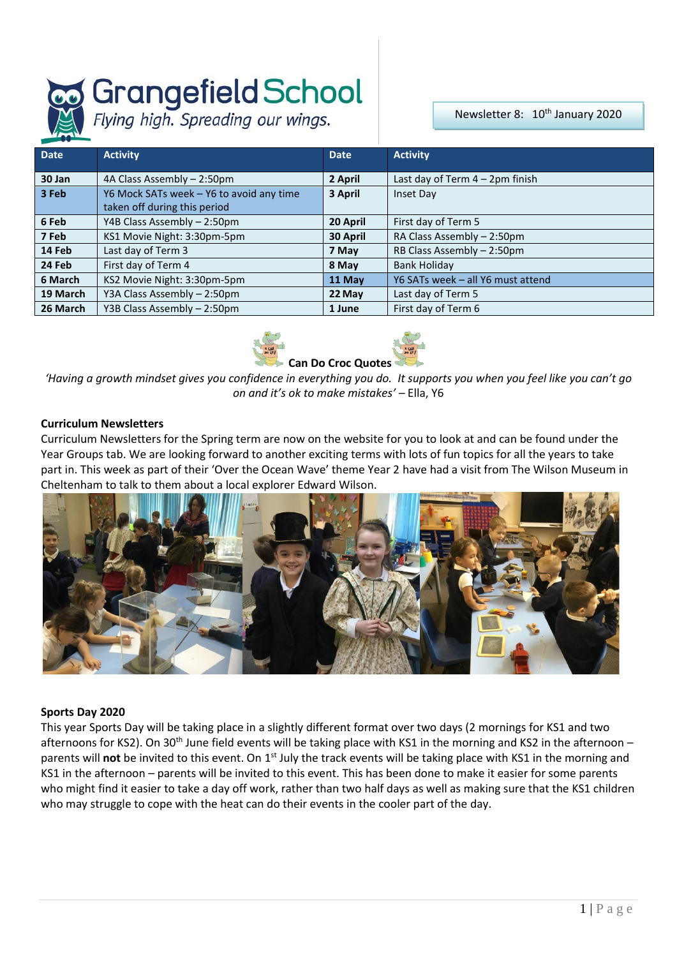# **Grangefield School**<br>Flying high. Spreading our wings.

Newsletter 8: 10<sup>th</sup> January 2020

| <b>Date</b> | <b>Activity</b>                          | <b>Date</b> | <b>Activity</b>                    |  |
|-------------|------------------------------------------|-------------|------------------------------------|--|
| 30 Jan      | 4A Class Assembly - 2:50pm               | 2 April     | Last day of Term $4 - 2$ pm finish |  |
| 3 Feb       | Y6 Mock SATs week - Y6 to avoid any time | 3 April     | Inset Day                          |  |
|             | taken off during this period             |             |                                    |  |
| 6 Feb       | Y4B Class Assembly - 2:50pm              | 20 April    | First day of Term 5                |  |
| 7 Feb       | KS1 Movie Night: 3:30pm-5pm              | 30 April    | RA Class Assembly - 2:50pm         |  |
| 14 Feb      | Last day of Term 3                       | 7 May       | RB Class Assembly - 2:50pm         |  |
| 24 Feb      | First day of Term 4                      | 8 May       | <b>Bank Holiday</b>                |  |
| 6 March     | KS2 Movie Night: 3:30pm-5pm              | 11 May      | Y6 SATs week - all Y6 must attend  |  |
| 19 March    | Y3A Class Assembly - 2:50pm              | 22 May      | Last day of Term 5                 |  |
| 26 March    | Y3B Class Assembly - 2:50pm              | 1 June      | First day of Term 6                |  |



*'Having a growth mindset gives you confidence in everything you do. It supports you when you feel like you can't go on and it's ok to make mistakes' –* Ella, Y6

# **Curriculum Newsletters**

Curriculum Newsletters for the Spring term are now on the website for you to look at and can be found under the Year Groups tab. We are looking forward to another exciting terms with lots of fun topics for all the years to take part in. This week as part of their 'Over the Ocean Wave' theme Year 2 have had a visit from The Wilson Museum in Cheltenham to talk to them about a local explorer Edward Wilson.



## **Sports Day 2020**

This year Sports Day will be taking place in a slightly different format over two days (2 mornings for KS1 and two afternoons for KS2). On 30<sup>th</sup> June field events will be taking place with KS1 in the morning and KS2 in the afternoon – parents will **not** be invited to this event. On 1st July the track events will be taking place with KS1 in the morning and KS1 in the afternoon – parents will be invited to this event. This has been done to make it easier for some parents who might find it easier to take a day off work, rather than two half days as well as making sure that the KS1 children who may struggle to cope with the heat can do their events in the cooler part of the day.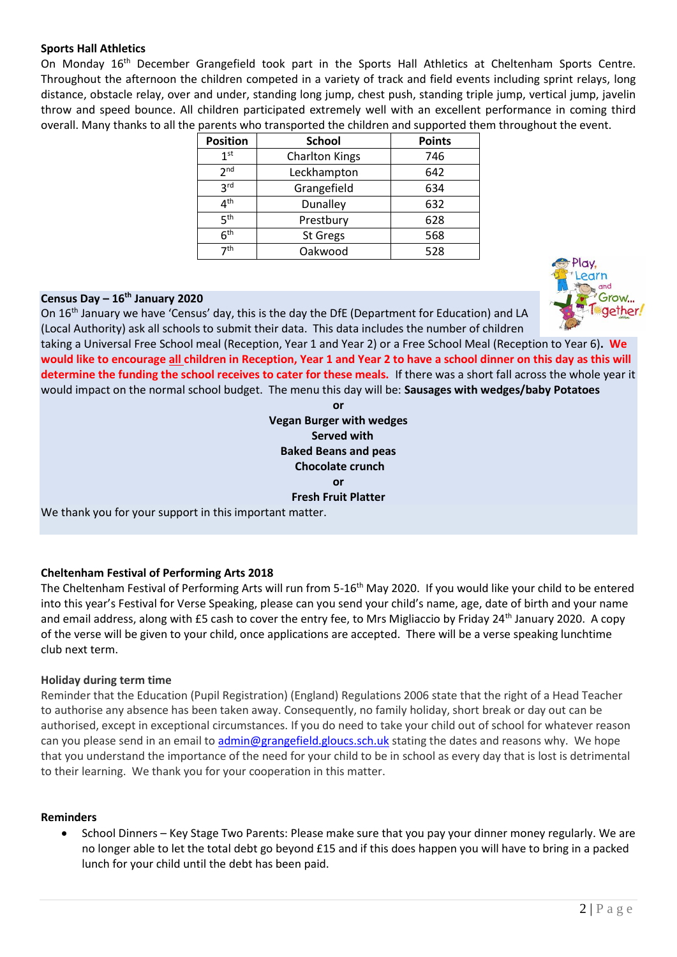# **Sports Hall Athletics**

On Monday 16<sup>th</sup> December Grangefield took part in the Sports Hall Athletics at Cheltenham Sports Centre. Throughout the afternoon the children competed in a variety of track and field events including sprint relays, long distance, obstacle relay, over and under, standing long jump, chest push, standing triple jump, vertical jump, javelin throw and speed bounce. All children participated extremely well with an excellent performance in coming third overall. Many thanks to all the parents who transported the children and supported them throughout the event.

| <b>Position</b> | <b>School</b>         | <b>Points</b> |
|-----------------|-----------------------|---------------|
| 1 <sup>st</sup> | <b>Charlton Kings</b> | 746           |
| 2 <sub>nd</sub> | Leckhampton           | 642           |
| <b>3rd</b>      | Grangefield           | 634           |
| $4^{\text{th}}$ | Dunalley              | 632           |
| 5 <sup>th</sup> | Prestbury             | 628           |
| 6 <sup>th</sup> | St Gregs              | 568           |
| 7 <sup>th</sup> | Oakwood               | 528           |

# **Census Day – 16th January 2020**

On 16th January we have 'Census' day, this is the day the DfE (Department for Education) and LA (Local Authority) ask all schools to submit their data. This data includes the number of children

taking a Universal Free School meal (Reception, Year 1 and Year 2) or a Free School Meal (Reception to Year 6)**. We would like to encourage all children in Reception, Year 1 and Year 2 to have a school dinner on this day as this will determine the funding the school receives to cater for these meals.** If there was a short fall across the whole year it would impact on the normal school budget. The menu this day will be: **Sausages with wedges/baby Potatoes**

**or**

**Vegan Burger with wedges Served with Baked Beans and peas Chocolate crunch or Fresh Fruit Platter**

We thank you for your support in this important matter.

## **Cheltenham Festival of Performing Arts 2018**

The Cheltenham Festival of Performing Arts will run from 5-16<sup>th</sup> May 2020. If you would like your child to be entered into this year's Festival for Verse Speaking, please can you send your child's name, age, date of birth and your name and email address, along with £5 cash to cover the entry fee, to Mrs Migliaccio by Friday 24th January 2020. A copy of the verse will be given to your child, once applications are accepted. There will be a verse speaking lunchtime club next term.

## **Holiday during term time**

Reminder that the Education (Pupil Registration) (England) Regulations 2006 state that the right of a Head Teacher to authorise any absence has been taken away. Consequently, no family holiday, short break or day out can be authorised, except in exceptional circumstances. If you do need to take your child out of school for whatever reason can you please send in an email t[o admin@grangefield.gloucs.sch.uk](mailto:admin@grangefield.gloucs.sch.uk) stating the dates and reasons why. We hope that you understand the importance of the need for your child to be in school as every day that is lost is detrimental to their learning. We thank you for your cooperation in this matter.

## **Reminders**

 School Dinners – Key Stage Two Parents: Please make sure that you pay your dinner money regularly. We are no longer able to let the total debt go beyond £15 and if this does happen you will have to bring in a packed lunch for your child until the debt has been paid.